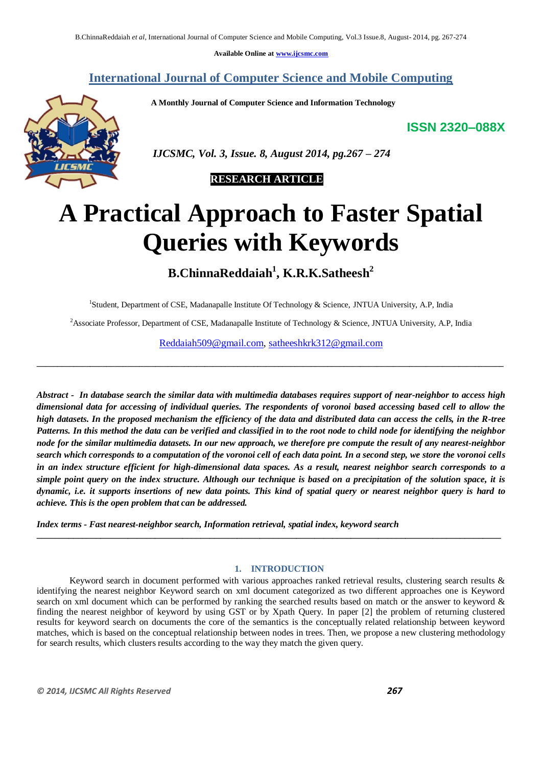**Available Online at www.ijcsmc.com**

# **International Journal of Computer Science and Mobile Computing**

 **A Monthly Journal of Computer Science and Information Technology**

# **ISSN 2320–088X**



 *IJCSMC, Vol. 3, Issue. 8, August 2014, pg.267 – 274*

# **RESEARCH ARTICLE**

# **A Practical Approach to Faster Spatial Queries with Keywords**

**B.ChinnaReddaiah<sup>1</sup> , K.R.K.Satheesh<sup>2</sup>**

<sup>1</sup>Student, Department of CSE, Madanapalle Institute Of Technology & Science, JNTUA University, A.P, India

<sup>2</sup>Associate Professor, Department of CSE, Madanapalle Institute of Technology & Science, JNTUA University, A.P, India

Reddaiah509@gmail.com, satheeshkrk312@gmail.com

**\_\_\_\_\_\_\_\_\_\_\_\_\_\_\_\_\_\_\_\_\_\_\_\_\_\_\_\_\_\_\_\_\_\_\_\_\_\_\_\_\_\_\_\_\_\_\_\_\_\_\_\_\_\_\_\_\_\_\_\_\_\_\_\_\_\_\_\_\_\_\_\_\_\_\_\_\_\_\_\_\_\_\_\_\_\_\_\_\_\_\_\_\_\_\_\_\_\_\_\_\_\_\_\_\_\_\_\_\_\_\_\_\_\_**

*Abstract - In database search the similar data with multimedia databases requires support of near-neighbor to access high dimensional data for accessing of individual queries. The respondents of voronoi based accessing based cell to allow the high datasets. In the proposed mechanism the efficiency of the data and distributed data can access the cells, in the R-tree Patterns. In this method the data can be verified and classified in to the root node to child node for identifying the neighbor node for the similar multimedia datasets. In our new approach, we therefore pre compute the result of any nearest-neighbor search which corresponds to a computation of the voronoi cell of each data point. In a second step, we store the voronoi cells in an index structure efficient for high-dimensional data spaces. As a result, nearest neighbor search corresponds to a simple point query on the index structure. Although our technique is based on a precipitation of the solution space, it is dynamic, i.e. it supports insertions of new data points. This kind of spatial query or nearest neighbor query is hard to achieve. This is the open problem that can be addressed.*

*Index terms - Fast nearest-neighbor search, Information retrieval, spatial index, keyword search*

## **1. INTRODUCTION**

**\_\_\_\_\_\_\_\_\_\_\_\_\_\_\_\_\_\_\_\_\_\_\_\_\_\_\_\_\_\_\_\_\_\_\_\_\_\_\_\_\_\_\_\_\_\_\_\_\_\_\_\_\_\_\_\_\_\_\_\_\_\_\_\_\_\_\_\_\_\_\_\_\_\_\_\_\_\_\_\_\_\_\_\_\_\_\_\_\_\_\_\_\_\_\_\_\_\_\_\_\_\_**

Keyword search in document performed with various approaches ranked retrieval results, clustering search results & identifying the nearest neighbor Keyword search on xml document categorized as two different approaches one is Keyword search on xml document which can be performed by ranking the searched results based on match or the answer to keyword & finding the nearest neighbor of keyword by using GST or by Xpath Query. In paper [2] the problem of returning clustered results for keyword search on documents the core of the semantics is the conceptually related relationship between keyword matches, which is based on the conceptual relationship between nodes in trees. Then, we propose a new clustering methodology for search results, which clusters results according to the way they match the given query.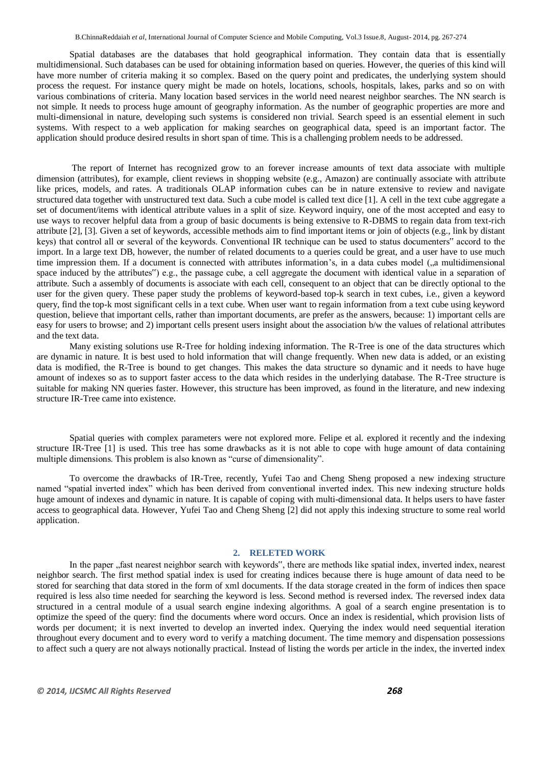Spatial databases are the databases that hold geographical information. They contain data that is essentially multidimensional. Such databases can be used for obtaining information based on queries. However, the queries of this kind will have more number of criteria making it so complex. Based on the query point and predicates, the underlying system should process the request. For instance query might be made on hotels, locations, schools, hospitals, lakes, parks and so on with various combinations of criteria. Many location based services in the world need nearest neighbor searches. The NN search is not simple. It needs to process huge amount of geography information. As the number of geographic properties are more and multi-dimensional in nature, developing such systems is considered non trivial. Search speed is an essential element in such systems. With respect to a web application for making searches on geographical data, speed is an important factor. The application should produce desired results in short span of time. This is a challenging problem needs to be addressed.

The report of Internet has recognized grow to an forever increase amounts of text data associate with multiple dimension (attributes), for example, client reviews in shopping website (e.g., Amazon) are continually associate with attribute like prices, models, and rates. A traditionals OLAP information cubes can be in nature extensive to review and navigate structured data together with unstructured text data. Such a cube model is called text dice [1]. A cell in the text cube aggregate a set of document/items with identical attribute values in a split of size. Keyword inquiry, one of the most accepted and easy to use ways to recover helpful data from a group of basic documents is being extensive to R-DBMS to regain data from text-rich attribute [2], [3]. Given a set of keywords, accessible methods aim to find important items or join of objects (e.g., link by distant keys) that control all or several of the keywords. Conventional IR technique can be used to status documenters" accord to the import. In a large text DB, however, the number of related documents to a queries could be great, and a user have to use much time impression them. If a document is connected with attributes information's, in a data cubes model ( $a$  multidimensional space induced by the attributes") e.g., the passage cube, a cell aggregate the document with identical value in a separation of attribute. Such a assembly of documents is associate with each cell, consequent to an object that can be directly optional to the user for the given query. These paper study the problems of keyword-based top-k search in text cubes, i.e., given a keyword query, find the top-k most significant cells in a text cube. When user want to regain information from a text cube using keyword question, believe that important cells, rather than important documents, are prefer as the answers, because: 1) important cells are easy for users to browse; and 2) important cells present users insight about the association b/w the values of relational attributes and the text data.

Many existing solutions use R-Tree for holding indexing information. The R-Tree is one of the data structures which are dynamic in nature. It is best used to hold information that will change frequently. When new data is added, or an existing data is modified, the R-Tree is bound to get changes. This makes the data structure so dynamic and it needs to have huge amount of indexes so as to support faster access to the data which resides in the underlying database. The R-Tree structure is suitable for making NN queries faster. However, this structure has been improved, as found in the literature, and new indexing structure IR-Tree came into existence.

Spatial queries with complex parameters were not explored more. Felipe et al. explored it recently and the indexing structure IR-Tree [1] is used. This tree has some drawbacks as it is not able to cope with huge amount of data containing multiple dimensions. This problem is also known as "curse of dimensionality".

To overcome the drawbacks of IR-Tree, recently, Yufei Tao and Cheng Sheng proposed a new indexing structure named "spatial inverted index" which has been derived from conventional inverted index. This new indexing structure holds huge amount of indexes and dynamic in nature. It is capable of coping with multi-dimensional data. It helps users to have faster access to geographical data. However, Yufei Tao and Cheng Sheng [2] did not apply this indexing structure to some real world application.

## **2. RELETED WORK**

In the paper ... fast nearest neighbor search with keywords", there are methods like spatial index, inverted index, nearest neighbor search. The first method spatial index is used for creating indices because there is huge amount of data need to be stored for searching that data stored in the form of xml documents. If the data storage created in the form of indices then space required is less also time needed for searching the keyword is less. Second method is reversed index. The reversed index data structured in a central module of a usual search engine indexing algorithms. A goal of a search engine presentation is to optimize the speed of the query: find the documents where word occurs. Once an index is residential, which provision lists of words per document; it is next inverted to develop an inverted index. Querying the index would need sequential iteration throughout every document and to every word to verify a matching document. The time memory and dispensation possessions to affect such a query are not always notionally practical. Instead of listing the words per article in the index, the inverted index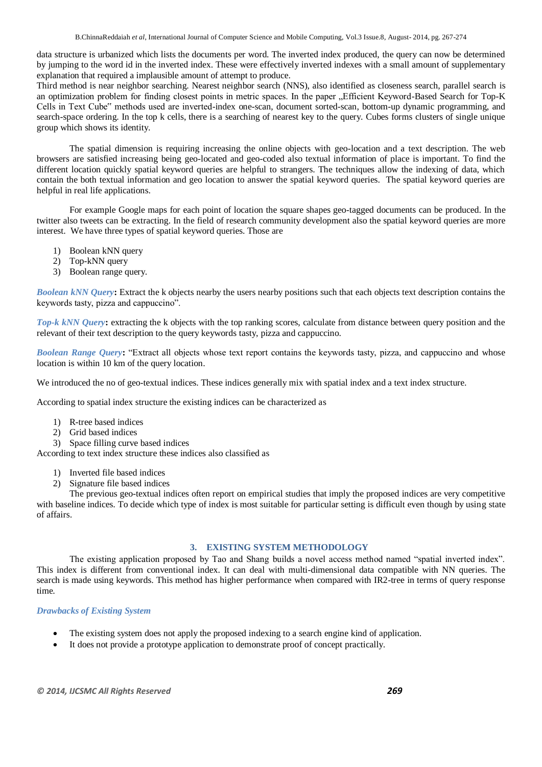B.ChinnaReddaiah *et al*, International Journal of Computer Science and Mobile Computing, Vol.3 Issue.8, August- 2014, pg. 267-274

data structure is urbanized which lists the documents per word. The inverted index produced, the query can now be determined by jumping to the word id in the inverted index. These were effectively inverted indexes with a small amount of supplementary explanation that required a implausible amount of attempt to produce.

Third method is near neighbor searching. Nearest neighbor search (NNS), also identified as closeness search, parallel search is an optimization problem for finding closest points in metric spaces. In the paper "Efficient Keyword-Based Search for Top-K Cells in Text Cube" methods used are inverted-index one-scan, document sorted-scan, bottom-up dynamic programming, and search-space ordering. In the top k cells, there is a searching of nearest key to the query. Cubes forms clusters of single unique group which shows its identity.

The spatial dimension is requiring increasing the online objects with geo-location and a text description. The web browsers are satisfied increasing being geo-located and geo-coded also textual information of place is important. To find the different location quickly spatial keyword queries are helpful to strangers. The techniques allow the indexing of data, which contain the both textual information and geo location to answer the spatial keyword queries. The spatial keyword queries are helpful in real life applications.

For example Google maps for each point of location the square shapes geo-tagged documents can be produced. In the twitter also tweets can be extracting. In the field of research community development also the spatial keyword queries are more interest. We have three types of spatial keyword queries. Those are

- 1) Boolean kNN query
- 2) Top-kNN query
- 3) Boolean range query.

*Boolean kNN Query***:** Extract the k objects nearby the users nearby positions such that each objects text description contains the keywords tasty, pizza and cappuccino".

*Top-k kNN Query***:** extracting the k objects with the top ranking scores, calculate from distance between query position and the relevant of their text description to the query keywords tasty, pizza and cappuccino.

*Boolean Range Query***:** "Extract all objects whose text report contains the keywords tasty, pizza, and cappuccino and whose location is within 10 km of the query location.

We introduced the no of geo-textual indices. These indices generally mix with spatial index and a text index structure.

According to spatial index structure the existing indices can be characterized as

- 1) R-tree based indices
- 2) Grid based indices
- 3) Space filling curve based indices

According to text index structure these indices also classified as

- 1) Inverted file based indices
- 2) Signature file based indices

The previous geo-textual indices often report on empirical studies that imply the proposed indices are very competitive with baseline indices. To decide which type of index is most suitable for particular setting is difficult even though by using state of affairs.

# **3. EXISTING SYSTEM METHODOLOGY**

The existing application proposed by Tao and Shang builds a novel access method named "spatial inverted index". This index is different from conventional index. It can deal with multi-dimensional data compatible with NN queries. The search is made using keywords. This method has higher performance when compared with IR2-tree in terms of query response time.

# *Drawbacks of Existing System*

- The existing system does not apply the proposed indexing to a search engine kind of application.
- It does not provide a prototype application to demonstrate proof of concept practically.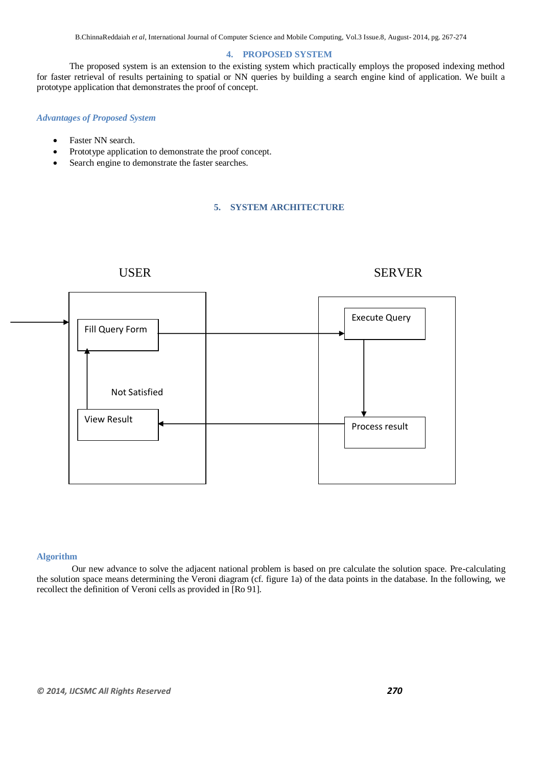B.ChinnaReddaiah *et al*, International Journal of Computer Science and Mobile Computing, Vol.3 Issue.8, August- 2014, pg. 267-274

# **4. PROPOSED SYSTEM**

The proposed system is an extension to the existing system which practically employs the proposed indexing method for faster retrieval of results pertaining to spatial or NN queries by building a search engine kind of application. We built a prototype application that demonstrates the proof of concept.

# *Advantages of Proposed System*

- Faster NN search.
- Prototype application to demonstrate the proof concept.
- Search engine to demonstrate the faster searches.

# **5. SYSTEM ARCHITECTURE**



# **Algorithm**

Our new advance to solve the adjacent national problem is based on pre calculate the solution space. Pre-calculating the solution space means determining the Veroni diagram (cf. figure 1a) of the data points in the database. In the following, we recollect the definition of Veroni cells as provided in [Ro 91].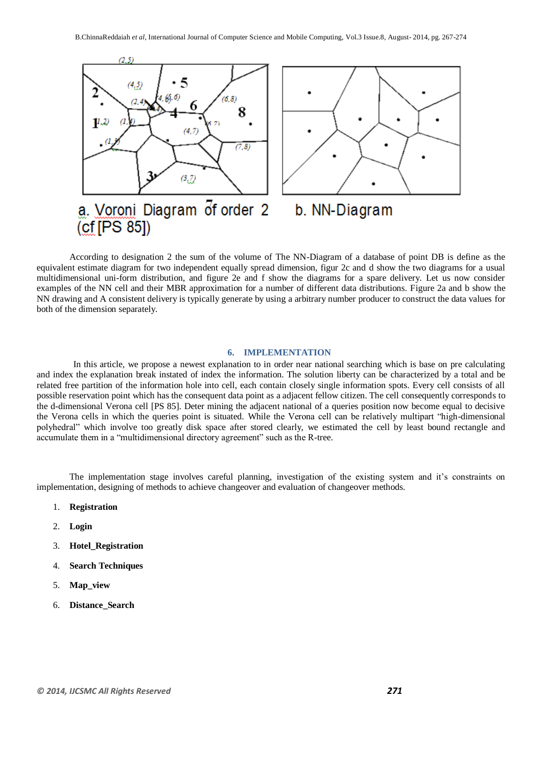

According to designation 2 the sum of the volume of The NN-Diagram of a database of point DB is define as the equivalent estimate diagram for two independent equally spread dimension, figur 2c and d show the two diagrams for a usual multidimensional uni-form distribution, and figure 2e and f show the diagrams for a spare delivery. Let us now consider examples of the NN cell and their MBR approximation for a number of different data distributions. Figure 2a and b show the NN drawing and A consistent delivery is typically generate by using a arbitrary number producer to construct the data values for both of the dimension separately.

# **6. IMPLEMENTATION**

In this article, we propose a newest explanation to in order near national searching which is base on pre calculating and index the explanation break instated of index the information. The solution liberty can be characterized by a total and be related free partition of the information hole into cell, each contain closely single information spots. Every cell consists of all possible reservation point which has the consequent data point as a adjacent fellow citizen. The cell consequently corresponds to the d-dimensional Verona cell [PS 85]. Deter mining the adjacent national of a queries position now become equal to decisive the Verona cells in which the queries point is situated. While the Verona cell can be relatively multipart "high-dimensional polyhedral" which involve too greatly disk space after stored clearly, we estimated the cell by least bound rectangle and accumulate them in a "multidimensional directory agreement" such as the R-tree.

The implementation stage involves careful planning, investigation of the existing system and it's constraints on implementation, designing of methods to achieve changeover and evaluation of changeover methods.

- 1. **Registration**
- 2. **Login**
- 3. **Hotel\_Registration**
- 4. **Search Techniques**
- 5. **Map\_view**
- 6. **Distance\_Search**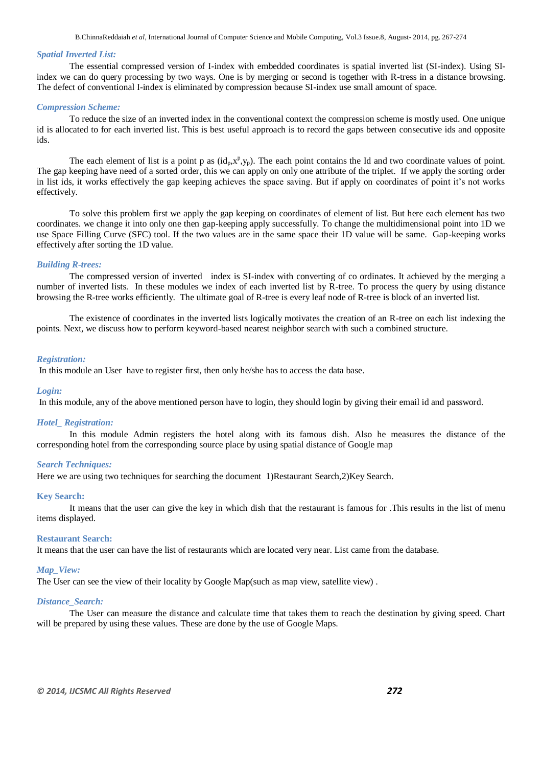#### *Spatial Inverted List:*

The essential compressed version of I-index with embedded coordinates is spatial inverted list (SI-index). Using SIindex we can do query processing by two ways. One is by merging or second is together with R-tress in a distance browsing. The defect of conventional I-index is eliminated by compression because SI-index use small amount of space.

#### *Compression Scheme:*

To reduce the size of an inverted index in the conventional context the compression scheme is mostly used. One unique id is allocated to for each inverted list. This is best useful approach is to record the gaps between consecutive ids and opposite ids.

The each element of list is a point p as  $(id_p, x^p, y_p)$ . The each point contains the Id and two coordinate values of point. The gap keeping have need of a sorted order, this we can apply on only one attribute of the triplet. If we apply the sorting order in list ids, it works effectively the gap keeping achieves the space saving. But if apply on coordinates of point it's not works effectively.

To solve this problem first we apply the gap keeping on coordinates of element of list. But here each element has two coordinates. we change it into only one then gap-keeping apply successfully. To change the multidimensional point into 1D we use Space Filling Curve (SFC) tool. If the two values are in the same space their 1D value will be same. Gap-keeping works effectively after sorting the 1D value.

#### *Building R-trees:*

The compressed version of inverted index is SI-index with converting of co ordinates. It achieved by the merging a number of inverted lists. In these modules we index of each inverted list by R-tree. To process the query by using distance browsing the R-tree works efficiently. The ultimate goal of R-tree is every leaf node of R-tree is block of an inverted list.

The existence of coordinates in the inverted lists logically motivates the creation of an R-tree on each list indexing the points. Next, we discuss how to perform keyword-based nearest neighbor search with such a combined structure.

#### *Registration:*

In this module an User have to register first, then only he/she has to access the data base.

#### *Login:*

In this module, any of the above mentioned person have to login, they should login by giving their email id and password.

## *Hotel\_ Registration:*

In this module Admin registers the hotel along with its famous dish. Also he measures the distance of the corresponding hotel from the corresponding source place by using spatial distance of Google map

## *Search Techniques:*

Here we are using two techniques for searching the document 1)Restaurant Search, 2)Key Search.

#### **Key Search:**

It means that the user can give the key in which dish that the restaurant is famous for .This results in the list of menu items displayed.

#### **Restaurant Search:**

It means that the user can have the list of restaurants which are located very near. List came from the database.

#### *Map\_View:*

The User can see the view of their locality by Google Map(such as map view, satellite view).

#### *Distance\_Search:*

The User can measure the distance and calculate time that takes them to reach the destination by giving speed. Chart will be prepared by using these values. These are done by the use of Google Maps.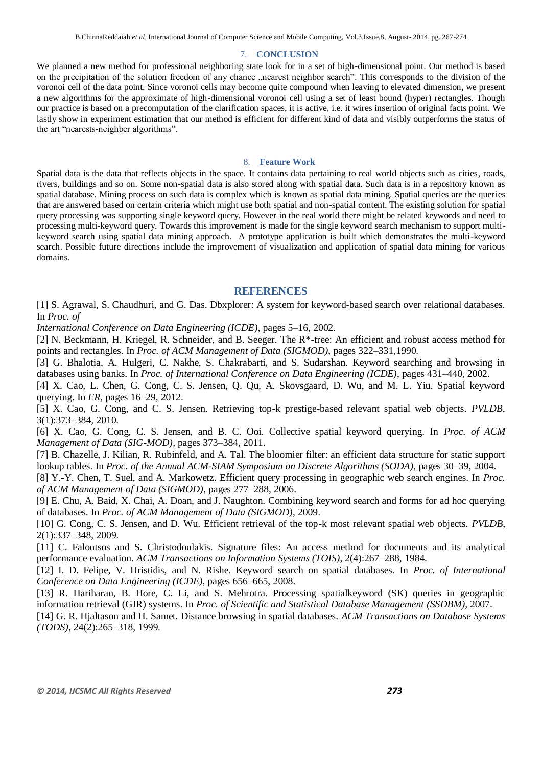## 7. **CONCLUSION**

We planned a new method for professional neighboring state look for in a set of high-dimensional point. Our method is based on the precipitation of the solution freedom of any chance "nearest neighbor search". This corresponds to the division of the voronoi cell of the data point. Since voronoi cells may become quite compound when leaving to elevated dimension, we present a new algorithms for the approximate of high-dimensional voronoi cell using a set of least bound (hyper) rectangles. Though our practice is based on a precomputation of the clarification spaces, it is active, i.e. it wires insertion of original facts point. We lastly show in experiment estimation that our method is efficient for different kind of data and visibly outperforms the status of the art "nearests-neighber algorithms".

#### 8. **Feature Work**

Spatial data is the data that reflects objects in the space. It contains data pertaining to real world objects such as cities, roads, rivers, buildings and so on. Some non-spatial data is also stored along with spatial data. Such data is in a repository known as spatial database. Mining process on such data is complex which is known as spatial data mining. Spatial queries are the queries that are answered based on certain criteria which might use both spatial and non-spatial content. The existing solution for spatial query processing was supporting single keyword query. However in the real world there might be related keywords and need to processing multi-keyword query. Towards this improvement is made for the single keyword search mechanism to support multikeyword search using spatial data mining approach. A prototype application is built which demonstrates the multi-keyword search. Possible future directions include the improvement of visualization and application of spatial data mining for various domains.

## **REFERENCES**

[1] S. Agrawal, S. Chaudhuri, and G. Das. Dbxplorer: A system for keyword-based search over relational databases. In *Proc. of*

*International Conference on Data Engineering (ICDE)*, pages 5–16, 2002.

[2] N. Beckmann, H. Kriegel, R. Schneider, and B. Seeger. The R\*-tree: An efficient and robust access method for points and rectangles. In *Proc. of ACM Management of Data (SIGMOD)*, pages 322–331,1990.

[3] G. Bhalotia, A. Hulgeri, C. Nakhe, S. Chakrabarti, and S. Sudarshan. Keyword searching and browsing in databases using banks. In *Proc. of International Conference on Data Engineering (ICDE)*, pages 431–440, 2002.

[4] X. Cao, L. Chen, G. Cong, C. S. Jensen, Q. Qu, A. Skovsgaard, D. Wu, and M. L. Yiu. Spatial keyword querying. In *ER*, pages 16–29, 2012.

[5] X. Cao, G. Cong, and C. S. Jensen. Retrieving top-k prestige-based relevant spatial web objects. *PVLDB*, 3(1):373–384, 2010.

[6] X. Cao, G. Cong, C. S. Jensen, and B. C. Ooi. Collective spatial keyword querying. In *Proc. of ACM Management of Data (SIG-MOD)*, pages 373–384, 2011.

[7] B. Chazelle, J. Kilian, R. Rubinfeld, and A. Tal. The bloomier filter: an efficient data structure for static support lookup tables. In *Proc. of the Annual ACM-SIAM Symposium on Discrete Algorithms (SODA)*, pages 30–39, 2004.

[8] Y.-Y. Chen, T. Suel, and A. Markowetz. Efficient query processing in geographic web search engines. In *Proc. of ACM Management of Data (SIGMOD)*, pages 277–288, 2006.

[9] E. Chu, A. Baid, X. Chai, A. Doan, and J. Naughton. Combining keyword search and forms for ad hoc querying of databases. In *Proc. of ACM Management of Data (SIGMOD)*, 2009.

[10] G. Cong, C. S. Jensen, and D. Wu. Efficient retrieval of the top-k most relevant spatial web objects. *PVLDB*, 2(1):337–348, 2009.

[11] C. Faloutsos and S. Christodoulakis. Signature files: An access method for documents and its analytical performance evaluation. *ACM Transactions on Information Systems (TOIS)*, 2(4):267–288, 1984.

[12] I. D. Felipe, V. Hristidis, and N. Rishe. Keyword search on spatial databases. In *Proc. of International Conference on Data Engineering (ICDE)*, pages 656–665, 2008.

[13] R. Hariharan, B. Hore, C. Li, and S. Mehrotra. Processing spatialkeyword (SK) queries in geographic information retrieval (GIR) systems. In *Proc. of Scientific and Statistical Database Management (SSDBM)*, 2007.

[14] G. R. Hjaltason and H. Samet. Distance browsing in spatial databases. *ACM Transactions on Database Systems (TODS)*, 24(2):265–318, 1999.